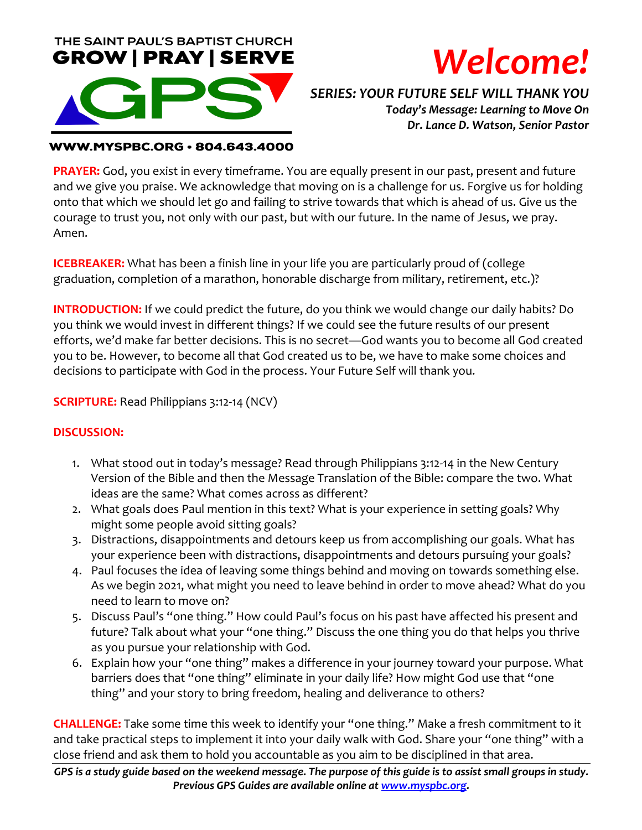



*SERIES: YOUR FUTURE SELF WILL THANK YOU Today's Message: Learning to Move On Dr. Lance D. Watson, Senior Pastor*

### **WWW.MYSPBC.ORG · 804.643.4000**

**PRAYER:** God, you exist in every timeframe. You are equally present in our past, present and future and we give you praise. We acknowledge that moving on is a challenge for us. Forgive us for holding onto that which we should let go and failing to strive towards that which is ahead of us. Give us the courage to trust you, not only with our past, but with our future. In the name of Jesus, we pray. Amen.

**ICEBREAKER:** What has been a finish line in your life you are particularly proud of (college graduation, completion of a marathon, honorable discharge from military, retirement, etc.)?

**INTRODUCTION:** If we could predict the future, do you think we would change our daily habits? Do you think we would invest in different things? If we could see the future results of our present efforts, we'd make far better decisions. This is no secret—God wants you to become all God created you to be. However, to become all that God created us to be, we have to make some choices and decisions to participate with God in the process. Your Future Self will thank you.

**SCRIPTURE:** Read Philippians 3:12-14 (NCV)

### **DISCUSSION:**

- 1. What stood out in today's message? Read through Philippians 3:12-14 in the New Century Version of the Bible and then the Message Translation of the Bible: compare the two. What ideas are the same? What comes across as different?
- 2. What goals does Paul mention in this text? What is your experience in setting goals? Why might some people avoid sitting goals?
- 3. Distractions, disappointments and detours keep us from accomplishing our goals. What has your experience been with distractions, disappointments and detours pursuing your goals?
- 4. Paul focuses the idea of leaving some things behind and moving on towards something else. As we begin 2021, what might you need to leave behind in order to move ahead? What do you need to learn to move on?
- 5. Discuss Paul's "one thing." How could Paul's focus on his past have affected his present and future? Talk about what your "one thing." Discuss the one thing you do that helps you thrive as you pursue your relationship with God.
- 6. Explain how your "one thing" makes a difference in your journey toward your purpose. What barriers does that "one thing" eliminate in your daily life? How might God use that "one thing" and your story to bring freedom, healing and deliverance to others?

**CHALLENGE:** Take some time this week to identify your "one thing." Make a fresh commitment to it and take practical steps to implement it into your daily walk with God. Share your "one thing" with a close friend and ask them to hold you accountable as you aim to be disciplined in that area.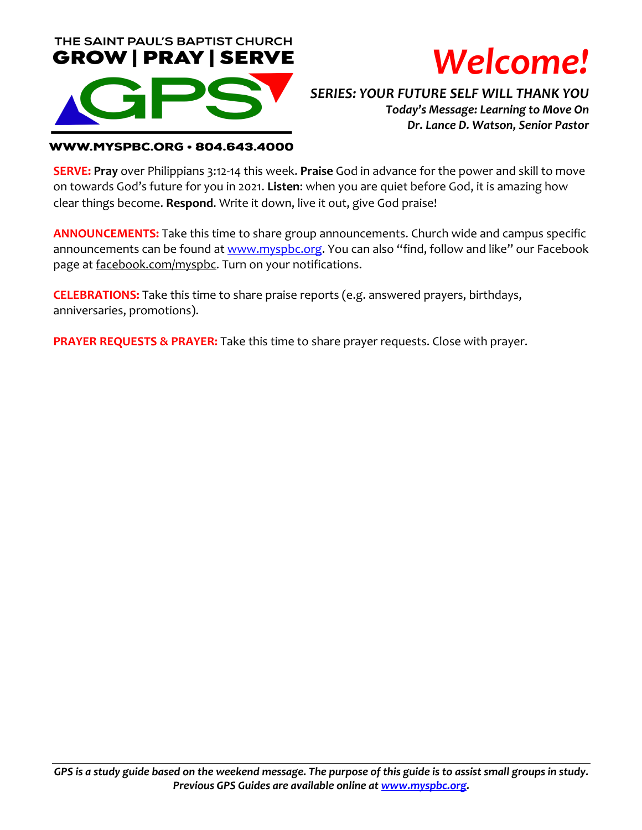



*SERIES: YOUR FUTURE SELF WILL THANK YOU Today's Message: Learning to Move On Dr. Lance D. Watson, Senior Pastor*

### **WWW.MYSPBC.ORG · 804.643.4000**

**SERVE: Pray** over Philippians 3:12-14 this week. **Praise** God in advance for the power and skill to move on towards God's future for you in 2021. **Listen**: when you are quiet before God, it is amazing how clear things become. **Respond**. Write it down, live it out, give God praise!

**ANNOUNCEMENTS:** Take this time to share group announcements. Church wide and campus specific announcements can be found at www.myspbc.org. You can also "find, follow and like" our Facebook page at facebook.com/myspbc. Turn on your notifications.

**CELEBRATIONS:** Take this time to share praise reports (e.g. answered prayers, birthdays, anniversaries, promotions).

**PRAYER REQUESTS & PRAYER:** Take this time to share prayer requests. Close with prayer.